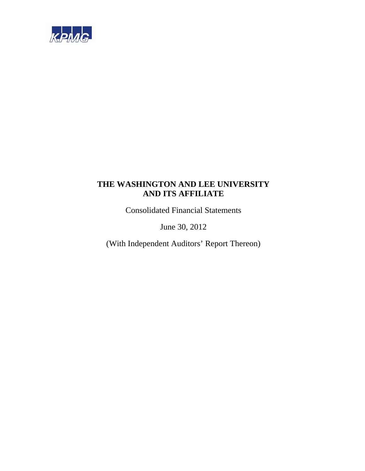

Consolidated Financial Statements

June 30, 2012

(With Independent Auditors' Report Thereon)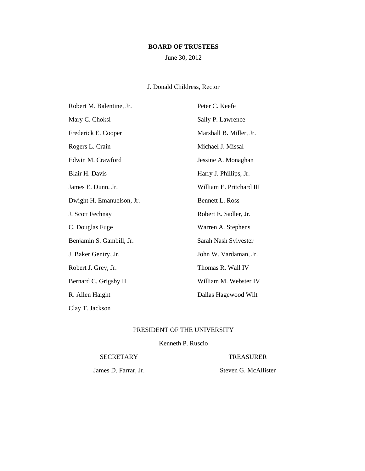# **BOARD OF TRUSTEES**

June 30, 2012

# J. Donald Childress, Rector

| Robert M. Balentine, Jr.  | Peter C. Keefe           |
|---------------------------|--------------------------|
| Mary C. Choksi            | Sally P. Lawrence        |
| Frederick E. Cooper       | Marshall B. Miller, Jr.  |
| Rogers L. Crain           | Michael J. Missal        |
| Edwin M. Crawford         | Jessine A. Monaghan      |
| Blair H. Davis            | Harry J. Phillips, Jr.   |
| James E. Dunn, Jr.        | William E. Pritchard III |
| Dwight H. Emanuelson, Jr. | Bennett L. Ross          |
| J. Scott Fechnay          | Robert E. Sadler, Jr.    |
| C. Douglas Fuge           | Warren A. Stephens       |
| Benjamin S. Gambill, Jr.  | Sarah Nash Sylvester     |
| J. Baker Gentry, Jr.      | John W. Vardaman, Jr.    |
| Robert J. Grey, Jr.       | Thomas R. Wall IV        |
| Bernard C. Grigsby II     | William M. Webster IV    |
| R. Allen Haight           | Dallas Hagewood Wilt     |
| Clay T. Jackson           |                          |

# PRESIDENT OF THE UNIVERSITY

# Kenneth P. Ruscio

#### SECRETARY TREASURER

James D. Farrar, Jr. Steven G. McAllister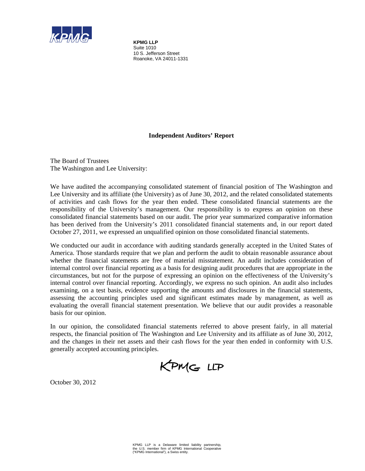

**KPMG LLP** Suite 1010 10 S. Jefferson Street Roanoke, VA 24011-1331

# **Independent Auditors' Report**

The Board of Trustees The Washington and Lee University:

We have audited the accompanying consolidated statement of financial position of The Washington and Lee University and its affiliate (the University) as of June 30, 2012, and the related consolidated statements of activities and cash flows for the year then ended. These consolidated financial statements are the responsibility of the University's management. Our responsibility is to express an opinion on these consolidated financial statements based on our audit. The prior year summarized comparative information has been derived from the University's 2011 consolidated financial statements and, in our report dated October 27, 2011, we expressed an unqualified opinion on those consolidated financial statements.

We conducted our audit in accordance with auditing standards generally accepted in the United States of America. Those standards require that we plan and perform the audit to obtain reasonable assurance about whether the financial statements are free of material misstatement. An audit includes consideration of internal control over financial reporting as a basis for designing audit procedures that are appropriate in the circumstances, but not for the purpose of expressing an opinion on the effectiveness of the University's internal control over financial reporting. Accordingly, we express no such opinion. An audit also includes examining, on a test basis, evidence supporting the amounts and disclosures in the financial statements, assessing the accounting principles used and significant estimates made by management, as well as evaluating the overall financial statement presentation. We believe that our audit provides a reasonable basis for our opinion.

In our opinion, the consolidated financial statements referred to above present fairly, in all material respects, the financial position of The Washington and Lee University and its affiliate as of June 30, 2012, and the changes in their net assets and their cash flows for the year then ended in conformity with U.S. generally accepted accounting principles.



October 30, 2012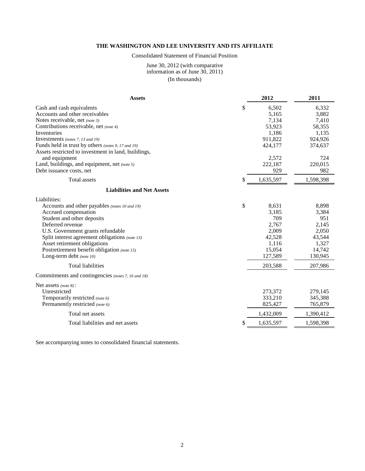#### Consolidated Statement of Financial Position

#### June 30, 2012 (with comparative information as of June 30, 2011) (In thousands)

| <b>Assets</b>                                       | 2012            | 2011      |
|-----------------------------------------------------|-----------------|-----------|
| Cash and cash equivalents                           | \$<br>6,502     | 6,332     |
| Accounts and other receivables                      | 5,165           | 3,882     |
| Notes receivable, net (note 3)                      | 7,134           | 7,410     |
| Contributions receivable, net (note 4)              | 53,923          | 58,355    |
| Inventories                                         | 1,186           | 1,135     |
| Investments (notes 7, 13 and 19)                    | 911,822         | 924,926   |
| Funds held in trust by others (notes 9, 17 and 19)  | 424,177         | 374,637   |
| Assets restricted to investment in land, buildings, |                 |           |
| and equipment                                       | 2,572           | 724       |
| Land, buildings, and equipment, net (note 5)        | 222,187         | 220,015   |
| Debt issuance costs, net                            | 929             | 982       |
| Total assets                                        | \$<br>1,635,597 | 1,598,398 |
| <b>Liabilities and Net Assets</b>                   |                 |           |
| Liabilities:                                        |                 |           |
| Accounts and other payables (notes 10 and 19)       | \$<br>8,631     | 8,898     |
| Accrued compensation                                | 3,185           | 3,384     |
| Student and other deposits                          | 709             | 951       |
| Deferred revenue                                    | 2,767           | 2,145     |
| U.S. Government grants refundable                   | 2,009           | 2,050     |
| Split interest agreement obligations (note 13)      | 42,528          | 43,544    |
| Asset retirement obligations                        | 1,116           | 1,327     |
| Postretirement benefit obligation (note 15)         | 15,054          | 14,742    |
| Long-term debt (note 10)                            | 127,589         | 130,945   |
| <b>Total liabilities</b>                            | 203,588         | 207,986   |
| Commitments and contingencies (notes 7, 16 and 18)  |                 |           |
| Net assets (note 8):                                |                 |           |
| Unrestricted                                        | 273,372         | 279,145   |
| Temporarily restricted (note 6)                     | 333,210         | 345,388   |
| Permanently restricted (note 6)                     | 825,427         | 765,879   |
| Total net assets                                    | 1,432,009       | 1,390,412 |
| Total liabilities and net assets                    | \$<br>1,635,597 | 1,598,398 |

See accompanying notes to consolidated financial statements.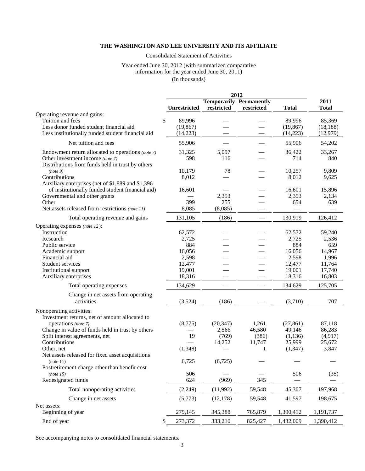Consolidated Statement of Activities

#### Year ended June 30, 2012 (with summarized comparative information for the year ended June 30, 2011) (In thousands)

|                                                                                                                                                  |                                       |                          | 2012                                         |                                 |                                 |
|--------------------------------------------------------------------------------------------------------------------------------------------------|---------------------------------------|--------------------------|----------------------------------------------|---------------------------------|---------------------------------|
|                                                                                                                                                  | <b>Unrestricted</b>                   | restricted               | <b>Temporarily Permanently</b><br>restricted | <b>Total</b>                    | 2011<br><b>Total</b>            |
| Operating revenue and gains:<br>Tuition and fees<br>Less donor funded student financial aid<br>Less institutionally funded student financial aid | \$<br>89,996<br>(19, 867)<br>(14,223) |                          |                                              | 89,996<br>(19, 867)<br>(14,223) | 85,369<br>(18, 188)<br>(12,979) |
| Net tuition and fees                                                                                                                             | 55,906                                |                          |                                              | 55,906                          | 54,202                          |
| Endowment return allocated to operations (note 7)<br>Other investment income (note 7)<br>Distributions from funds held in trust by others        | 31,325<br>598                         | 5,097<br>116             |                                              | 36,422<br>714                   | 33,267<br>840                   |
| (note 9)<br>Contributions<br>Auxiliary enterprises (net of \$1,889 and \$1,396                                                                   | 10,179<br>8,012                       | 78                       |                                              | 10,257<br>8,012                 | 9,809<br>9,625                  |
| of institutionally funded student financial aid)<br>Governmental and other grants<br>Other<br>Net assets released from restrictions (note 11)    | 16,601<br>399<br>8,085                | 2,353<br>255<br>(8,085)  |                                              | 16,601<br>2,353<br>654          | 15,896<br>2,134<br>639          |
| Total operating revenue and gains                                                                                                                | 131,105                               | (186)                    |                                              | 130,919                         | 126,412                         |
| Operating expenses (note 12):<br>Instruction                                                                                                     | 62,572                                |                          |                                              | 62,572                          | 59,240                          |
| Research<br>Public service<br>Academic support                                                                                                   | 2,725<br>884<br>16,056                |                          |                                              | 2,725<br>884<br>16,056          | 2,536<br>659<br>14,967          |
| Financial aid<br>Student services<br>Institutional support                                                                                       | 2,598<br>12,477<br>19,001             |                          |                                              | 2,598<br>12,477<br>19,001       | 1,996<br>11,764<br>17,740       |
| Auxiliary enterprises                                                                                                                            | 18,316                                |                          |                                              | 18,316                          | 16,803                          |
| Total operating expenses                                                                                                                         | 134,629                               |                          |                                              | 134,629                         | 125,705                         |
| Change in net assets from operating<br>activities                                                                                                | (3,524)                               | (186)                    |                                              | (3,710)                         | 707                             |
| Nonoperating activities:<br>Investment returns, net of amount allocated to<br>operations (note 7)                                                | (8,775)                               | (20, 347)                | 1,261                                        | (27, 861)                       | 87,118                          |
| Change in value of funds held in trust by others<br>Split interest agreements, net<br>Contributions                                              | 19                                    | 2,566<br>(769)<br>14,252 | 46,580<br>(386)<br>11,747                    | 49,146<br>(1,136)<br>25,999     | 86,283<br>(4, 917)<br>25,672    |
| Other, net<br>Net assets released for fixed asset acquisitions                                                                                   | (1,348)                               |                          | 1                                            | (1, 347)                        | 3,847                           |
| (note 11)<br>Postretirement charge other than benefit cost<br>(note 15)                                                                          | 6,725<br>506                          | (6,725)                  |                                              | 506                             | (35)                            |
| Redesignated funds                                                                                                                               | 624                                   | (969)                    | 345                                          |                                 |                                 |
| Total nonoperating activities                                                                                                                    | (2,249)                               | (11,992)                 | 59,548                                       | 45,307                          | 197,968                         |
| Change in net assets                                                                                                                             | (5,773)                               | (12, 178)                | 59,548                                       | 41,597                          | 198,675                         |
| Net assets:<br>Beginning of year                                                                                                                 | 279,145                               | 345,388                  | 765,879                                      | 1,390,412                       | 1,191,737                       |
| End of year                                                                                                                                      | 273,372<br>\$                         | 333,210                  | 825,427                                      | 1,432,009                       | 1,390,412                       |

See accompanying notes to consolidated financial statements.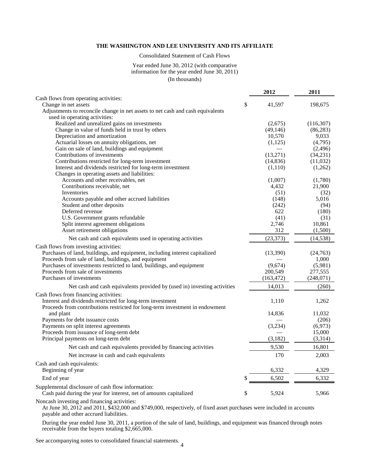Consolidated Statement of Cash Flows

#### Year ended June 30, 2012 (with comparative information for the year ended June 30, 2011) (In thousands)

|                                                                                                                                            | 2012                | 2011               |
|--------------------------------------------------------------------------------------------------------------------------------------------|---------------------|--------------------|
| Cash flows from operating activities:                                                                                                      |                     |                    |
| Change in net assets                                                                                                                       | \$<br>41,597        | 198,675            |
| Adjustments to reconcile change in net assets to net cash and cash equivalents                                                             |                     |                    |
| used in operating activities:                                                                                                              |                     |                    |
| Realized and unrealized gains on investments<br>Change in value of funds held in trust by others                                           | (2,675)             | (116,307)          |
| Depreciation and amortization                                                                                                              | (49, 146)<br>10,570 | (86, 283)<br>9,033 |
| Actuarial losses on annuity obligations, net                                                                                               | (1, 125)            | (4,795)            |
| Gain on sale of land, buildings and equipment                                                                                              |                     | (2, 496)           |
| Contributions of investments                                                                                                               | (13,271)            | (34,231)           |
| Contributions restricted for long-term investment                                                                                          | (14, 836)           | (11,032)           |
| Interest and dividends restricted for long-term investment                                                                                 | (1,110)             | (1,262)            |
| Changes in operating assets and liabilities:                                                                                               |                     |                    |
| Accounts and other receivables, net                                                                                                        | (1,007)             | (1,780)            |
| Contributions receivable, net                                                                                                              | 4,432               | 21,900             |
| Inventories                                                                                                                                | (51)                | (32)               |
| Accounts payable and other accrued liabilities                                                                                             | (148)               | 5,016              |
| Student and other deposits                                                                                                                 | (242)               | (94)               |
| Deferred revenue                                                                                                                           | 622                 | (180)              |
| U.S. Government grants refundable                                                                                                          | (41)                | (31)               |
| Split interest agreement obligations                                                                                                       | 2,746               | 10,861             |
| Asset retirement obligations                                                                                                               | 312                 | (1,500)            |
| Net cash and cash equivalents used in operating activities                                                                                 | (23, 373)           | (14, 538)          |
| Cash flows from investing activities:                                                                                                      |                     |                    |
| Purchases of land, buildings, and equipment, including interest capitalized                                                                | (13,390)            | (24,763)           |
| Proceeds from sale of land, buildings, and equipment                                                                                       |                     | 1,000              |
| Purchases of investments restricted to land, buildings, and equipment                                                                      | (9,674)             | (5,981)            |
| Proceeds from sale of investments                                                                                                          | 200,549             | 277,555            |
| Purchases of investments                                                                                                                   | (163, 472)          | (248,071)          |
| Net cash and cash equivalents provided by (used in) investing activities                                                                   | 14,013              | (260)              |
| Cash flows from financing activities:                                                                                                      |                     |                    |
| Interest and dividends restricted for long-term investment<br>Proceeds from contributions restricted for long-term investment in endowment | 1,110               | 1,262              |
| and plant                                                                                                                                  | 14,836              | 11,032             |
| Payments for debt issuance costs                                                                                                           |                     | (206)              |
| Payments on split interest agreements                                                                                                      | (3,234)             | (6,973)            |
| Proceeds from issuance of long-term debt                                                                                                   |                     | 15,000             |
| Principal payments on long-term debt                                                                                                       | (3,182)             | (3,314)            |
| Net cash and cash equivalents provided by financing activities                                                                             | 9,530               | 16,801             |
| Net increase in cash and cash equivalents                                                                                                  | 170                 | 2,003              |
| Cash and cash equivalents:                                                                                                                 |                     |                    |
| Beginning of year                                                                                                                          | 6,332               | 4,329              |
| End of year                                                                                                                                | \$<br>6,502         | 6,332              |
| Supplemental disclosure of cash flow information:                                                                                          |                     |                    |
| Cash paid during the year for interest, net of amounts capitalized                                                                         | \$<br>5,924         | 5,966              |
| $\sim$ $\sim$ $\sim$                                                                                                                       |                     |                    |

Noncash investing and financing activities:

At June 30, 2012 and 2011, \$432,000 and \$749,000, respectively, of fixed asset purchases were included in accounts payable and other accrued liabilities.

During the year ended June 30, 2011, a portion of the sale of land, buildings, and equipment was financed through notes receivable from the buyers totaling \$2,665,000.

4 See accompanying notes to consolidated financial statements.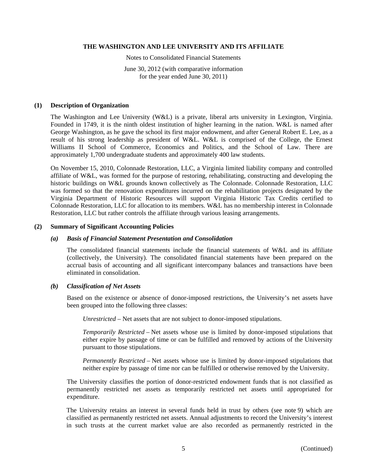Notes to Consolidated Financial Statements

June 30, 2012 (with comparative information for the year ended June 30, 2011)

### **(1) Description of Organization**

The Washington and Lee University (W&L) is a private, liberal arts university in Lexington, Virginia. Founded in 1749, it is the ninth oldest institution of higher learning in the nation. W&L is named after George Washington, as he gave the school its first major endowment, and after General Robert E. Lee, as a result of his strong leadership as president of W&L. W&L is comprised of the College, the Ernest Williams II School of Commerce, Economics and Politics, and the School of Law. There are approximately 1,700 undergraduate students and approximately 400 law students.

On November 15, 2010, Colonnade Restoration, LLC, a Virginia limited liability company and controlled affiliate of W&L, was formed for the purpose of restoring, rehabilitating, constructing and developing the historic buildings on W&L grounds known collectively as The Colonnade. Colonnade Restoration, LLC was formed so that the renovation expenditures incurred on the rehabilitation projects designated by the Virginia Department of Historic Resources will support Virginia Historic Tax Credits certified to Colonnade Restoration, LLC for allocation to its members. W&L has no membership interest in Colonnade Restoration, LLC but rather controls the affiliate through various leasing arrangements.

#### **(2) Summary of Significant Accounting Policies**

#### *(a) Basis of Financial Statement Presentation and Consolidation*

The consolidated financial statements include the financial statements of W&L and its affiliate (collectively, the University). The consolidated financial statements have been prepared on the accrual basis of accounting and all significant intercompany balances and transactions have been eliminated in consolidation.

### *(b) Classification of Net Assets*

Based on the existence or absence of donor-imposed restrictions, the University's net assets have been grouped into the following three classes:

*Unrestricted* – Net assets that are not subject to donor-imposed stipulations.

*Temporarily Restricted* – Net assets whose use is limited by donor-imposed stipulations that either expire by passage of time or can be fulfilled and removed by actions of the University pursuant to those stipulations.

*Permanently Restricted* – Net assets whose use is limited by donor-imposed stipulations that neither expire by passage of time nor can be fulfilled or otherwise removed by the University.

The University classifies the portion of donor-restricted endowment funds that is not classified as permanently restricted net assets as temporarily restricted net assets until appropriated for expenditure.

The University retains an interest in several funds held in trust by others (see note 9) which are classified as permanently restricted net assets. Annual adjustments to record the University's interest in such trusts at the current market value are also recorded as permanently restricted in the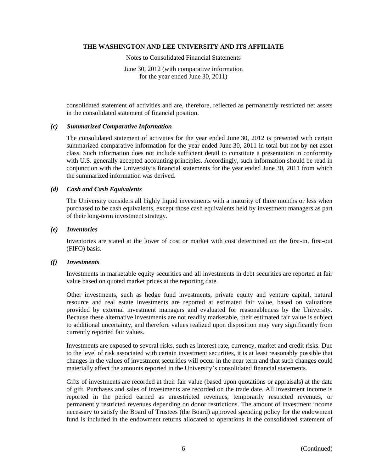Notes to Consolidated Financial Statements

June 30, 2012 (with comparative information for the year ended June 30, 2011)

consolidated statement of activities and are, therefore, reflected as permanently restricted net assets in the consolidated statement of financial position.

#### *(c) Summarized Comparative Information*

The consolidated statement of activities for the year ended June 30, 2012 is presented with certain summarized comparative information for the year ended June 30, 2011 in total but not by net asset class. Such information does not include sufficient detail to constitute a presentation in conformity with U.S. generally accepted accounting principles. Accordingly, such information should be read in conjunction with the University's financial statements for the year ended June 30, 2011 from which the summarized information was derived.

#### *(d) Cash and Cash Equivalents*

The University considers all highly liquid investments with a maturity of three months or less when purchased to be cash equivalents, except those cash equivalents held by investment managers as part of their long-term investment strategy.

#### *(e) Inventories*

Inventories are stated at the lower of cost or market with cost determined on the first-in, first-out (FIFO) basis.

#### *(f) Investments*

Investments in marketable equity securities and all investments in debt securities are reported at fair value based on quoted market prices at the reporting date.

Other investments, such as hedge fund investments, private equity and venture capital, natural resource and real estate investments are reported at estimated fair value, based on valuations provided by external investment managers and evaluated for reasonableness by the University. Because these alternative investments are not readily marketable, their estimated fair value is subject to additional uncertainty, and therefore values realized upon disposition may vary significantly from currently reported fair values.

Investments are exposed to several risks, such as interest rate, currency, market and credit risks. Due to the level of risk associated with certain investment securities, it is at least reasonably possible that changes in the values of investment securities will occur in the near term and that such changes could materially affect the amounts reported in the University's consolidated financial statements.

Gifts of investments are recorded at their fair value (based upon quotations or appraisals) at the date of gift. Purchases and sales of investments are recorded on the trade date. All investment income is reported in the period earned as unrestricted revenues, temporarily restricted revenues, or permanently restricted revenues depending on donor restrictions. The amount of investment income necessary to satisfy the Board of Trustees (the Board) approved spending policy for the endowment fund is included in the endowment returns allocated to operations in the consolidated statement of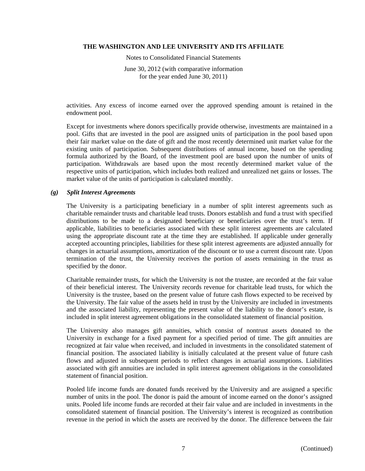Notes to Consolidated Financial Statements

June 30, 2012 (with comparative information for the year ended June 30, 2011)

activities. Any excess of income earned over the approved spending amount is retained in the endowment pool.

Except for investments where donors specifically provide otherwise, investments are maintained in a pool. Gifts that are invested in the pool are assigned units of participation in the pool based upon their fair market value on the date of gift and the most recently determined unit market value for the existing units of participation. Subsequent distributions of annual income, based on the spending formula authorized by the Board, of the investment pool are based upon the number of units of participation. Withdrawals are based upon the most recently determined market value of the respective units of participation, which includes both realized and unrealized net gains or losses. The market value of the units of participation is calculated monthly.

#### *(g) Split Interest Agreements*

The University is a participating beneficiary in a number of split interest agreements such as charitable remainder trusts and charitable lead trusts. Donors establish and fund a trust with specified distributions to be made to a designated beneficiary or beneficiaries over the trust's term. If applicable, liabilities to beneficiaries associated with these split interest agreements are calculated using the appropriate discount rate at the time they are established. If applicable under generally accepted accounting principles, liabilities for these split interest agreements are adjusted annually for changes in actuarial assumptions, amortization of the discount or to use a current discount rate. Upon termination of the trust, the University receives the portion of assets remaining in the trust as specified by the donor.

Charitable remainder trusts, for which the University is not the trustee, are recorded at the fair value of their beneficial interest. The University records revenue for charitable lead trusts, for which the University is the trustee, based on the present value of future cash flows expected to be received by the University. The fair value of the assets held in trust by the University are included in investments and the associated liability, representing the present value of the liability to the donor's estate, is included in split interest agreement obligations in the consolidated statement of financial position.

The University also manages gift annuities, which consist of nontrust assets donated to the University in exchange for a fixed payment for a specified period of time. The gift annuities are recognized at fair value when received, and included in investments in the consolidated statement of financial position. The associated liability is initially calculated at the present value of future cash flows and adjusted in subsequent periods to reflect changes in actuarial assumptions. Liabilities associated with gift annuities are included in split interest agreement obligations in the consolidated statement of financial position.

Pooled life income funds are donated funds received by the University and are assigned a specific number of units in the pool. The donor is paid the amount of income earned on the donor's assigned units. Pooled life income funds are recorded at their fair value and are included in investments in the consolidated statement of financial position. The University's interest is recognized as contribution revenue in the period in which the assets are received by the donor. The difference between the fair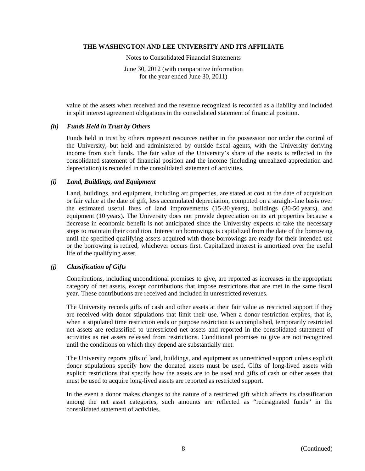Notes to Consolidated Financial Statements

June 30, 2012 (with comparative information for the year ended June 30, 2011)

value of the assets when received and the revenue recognized is recorded as a liability and included in split interest agreement obligations in the consolidated statement of financial position.

#### *(h) Funds Held in Trust by Others*

Funds held in trust by others represent resources neither in the possession nor under the control of the University, but held and administered by outside fiscal agents, with the University deriving income from such funds. The fair value of the University's share of the assets is reflected in the consolidated statement of financial position and the income (including unrealized appreciation and depreciation) is recorded in the consolidated statement of activities.

# *(i) Land, Buildings, and Equipment*

Land, buildings, and equipment, including art properties, are stated at cost at the date of acquisition or fair value at the date of gift, less accumulated depreciation, computed on a straight-line basis over the estimated useful lives of land improvements (15-30 years), buildings (30-50 years), and equipment (10 years). The University does not provide depreciation on its art properties because a decrease in economic benefit is not anticipated since the University expects to take the necessary steps to maintain their condition. Interest on borrowings is capitalized from the date of the borrowing until the specified qualifying assets acquired with those borrowings are ready for their intended use or the borrowing is retired, whichever occurs first. Capitalized interest is amortized over the useful life of the qualifying asset.

# *(j) Classification of Gifts*

Contributions, including unconditional promises to give, are reported as increases in the appropriate category of net assets, except contributions that impose restrictions that are met in the same fiscal year. These contributions are received and included in unrestricted revenues.

The University records gifts of cash and other assets at their fair value as restricted support if they are received with donor stipulations that limit their use. When a donor restriction expires, that is, when a stipulated time restriction ends or purpose restriction is accomplished, temporarily restricted net assets are reclassified to unrestricted net assets and reported in the consolidated statement of activities as net assets released from restrictions. Conditional promises to give are not recognized until the conditions on which they depend are substantially met.

The University reports gifts of land, buildings, and equipment as unrestricted support unless explicit donor stipulations specify how the donated assets must be used. Gifts of long-lived assets with explicit restrictions that specify how the assets are to be used and gifts of cash or other assets that must be used to acquire long-lived assets are reported as restricted support.

In the event a donor makes changes to the nature of a restricted gift which affects its classification among the net asset categories, such amounts are reflected as "redesignated funds" in the consolidated statement of activities.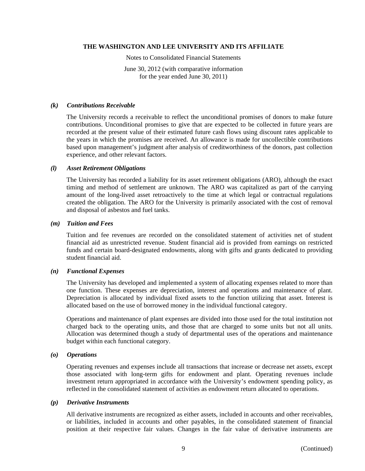Notes to Consolidated Financial Statements

June 30, 2012 (with comparative information for the year ended June 30, 2011)

#### *(k) Contributions Receivable*

The University records a receivable to reflect the unconditional promises of donors to make future contributions. Unconditional promises to give that are expected to be collected in future years are recorded at the present value of their estimated future cash flows using discount rates applicable to the years in which the promises are received. An allowance is made for uncollectible contributions based upon management's judgment after analysis of creditworthiness of the donors, past collection experience, and other relevant factors.

#### *(l) Asset Retirement Obligations*

The University has recorded a liability for its asset retirement obligations (ARO), although the exact timing and method of settlement are unknown. The ARO was capitalized as part of the carrying amount of the long-lived asset retroactively to the time at which legal or contractual regulations created the obligation. The ARO for the University is primarily associated with the cost of removal and disposal of asbestos and fuel tanks.

#### *(m) Tuition and Fees*

Tuition and fee revenues are recorded on the consolidated statement of activities net of student financial aid as unrestricted revenue. Student financial aid is provided from earnings on restricted funds and certain board-designated endowments, along with gifts and grants dedicated to providing student financial aid.

#### *(n) Functional Expenses*

The University has developed and implemented a system of allocating expenses related to more than one function. These expenses are depreciation, interest and operations and maintenance of plant. Depreciation is allocated by individual fixed assets to the function utilizing that asset. Interest is allocated based on the use of borrowed money in the individual functional category.

Operations and maintenance of plant expenses are divided into those used for the total institution not charged back to the operating units, and those that are charged to some units but not all units. Allocation was determined though a study of departmental uses of the operations and maintenance budget within each functional category.

#### *(o) Operations*

Operating revenues and expenses include all transactions that increase or decrease net assets, except those associated with long-term gifts for endowment and plant. Operating revenues include investment return appropriated in accordance with the University's endowment spending policy, as reflected in the consolidated statement of activities as endowment return allocated to operations.

#### *(p) Derivative Instruments*

All derivative instruments are recognized as either assets, included in accounts and other receivables, or liabilities, included in accounts and other payables, in the consolidated statement of financial position at their respective fair values. Changes in the fair value of derivative instruments are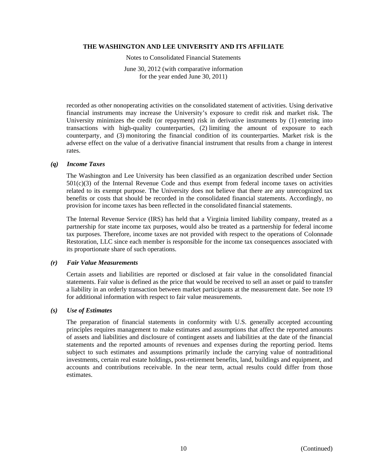Notes to Consolidated Financial Statements

June 30, 2012 (with comparative information for the year ended June 30, 2011)

recorded as other nonoperating activities on the consolidated statement of activities. Using derivative financial instruments may increase the University's exposure to credit risk and market risk. The University minimizes the credit (or repayment) risk in derivative instruments by (1) entering into transactions with high-quality counterparties, (2) limiting the amount of exposure to each counterparty, and (3) monitoring the financial condition of its counterparties. Market risk is the adverse effect on the value of a derivative financial instrument that results from a change in interest rates.

#### *(q) Income Taxes*

The Washington and Lee University has been classified as an organization described under Section  $501(c)(3)$  of the Internal Revenue Code and thus exempt from federal income taxes on activities related to its exempt purpose. The University does not believe that there are any unrecognized tax benefits or costs that should be recorded in the consolidated financial statements. Accordingly, no provision for income taxes has been reflected in the consolidated financial statements.

The Internal Revenue Service (IRS) has held that a Virginia limited liability company, treated as a partnership for state income tax purposes, would also be treated as a partnership for federal income tax purposes. Therefore, income taxes are not provided with respect to the operations of Colonnade Restoration, LLC since each member is responsible for the income tax consequences associated with its proportionate share of such operations.

#### *(r) Fair Value Measurements*

Certain assets and liabilities are reported or disclosed at fair value in the consolidated financial statements. Fair value is defined as the price that would be received to sell an asset or paid to transfer a liability in an orderly transaction between market participants at the measurement date. See note 19 for additional information with respect to fair value measurements.

#### *(s) Use of Estimates*

The preparation of financial statements in conformity with U.S. generally accepted accounting principles requires management to make estimates and assumptions that affect the reported amounts of assets and liabilities and disclosure of contingent assets and liabilities at the date of the financial statements and the reported amounts of revenues and expenses during the reporting period. Items subject to such estimates and assumptions primarily include the carrying value of nontraditional investments, certain real estate holdings, post-retirement benefits, land, buildings and equipment, and accounts and contributions receivable. In the near term, actual results could differ from those estimates.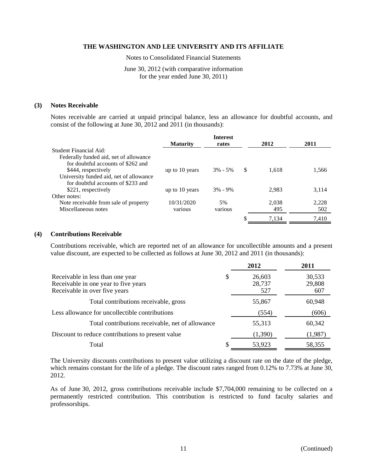Notes to Consolidated Financial Statements

June 30, 2012 (with comparative information for the year ended June 30, 2011)

#### **(3) Notes Receivable**

Notes receivable are carried at unpaid principal balance, less an allowance for doubtful accounts, and consist of the following at June 30, 2012 and 2011 (in thousands):

|                                         | <b>Maturity</b> | <b>Interest</b><br>rates |    | 2012  | 2011  |
|-----------------------------------------|-----------------|--------------------------|----|-------|-------|
| Student Financial Aid:                  |                 |                          |    |       |       |
| Federally funded aid, net of allowance  |                 |                          |    |       |       |
| for doubtful accounts of \$262 and      |                 |                          |    |       |       |
| \$444, respectively                     | up to 10 years  | $3\% - 5\%$              | -S | 1.618 | 1,566 |
| University funded aid, net of allowance |                 |                          |    |       |       |
| for doubtful accounts of \$233 and      |                 |                          |    |       |       |
| \$221, respectively                     | up to 10 years  | $3\% - 9\%$              |    | 2,983 | 3,114 |
| Other notes:                            |                 |                          |    |       |       |
| Note receivable from sale of property   | 10/31/2020      | 5%                       |    | 2,038 | 2,228 |
| Miscellaneous notes                     | various         | various                  |    | 495   | 502   |
|                                         |                 |                          |    | 7.134 | 7.410 |

#### **(4) Contributions Receivable**

Contributions receivable, which are reported net of an allowance for uncollectible amounts and a present value discount, are expected to be collected as follows at June 30, 2012 and 2011 (in thousands):

|                                                                                                           |   | 2012                    | 2011                    |
|-----------------------------------------------------------------------------------------------------------|---|-------------------------|-------------------------|
| Receivable in less than one year<br>Receivable in one year to five years<br>Receivable in over five years | S | 26,603<br>28,737<br>527 | 30,533<br>29,808<br>607 |
| Total contributions receivable, gross                                                                     |   | 55,867                  | 60,948                  |
| Less allowance for uncollectible contributions                                                            |   | (554)                   | (606)                   |
| Total contributions receivable, net of allowance                                                          |   | 55,313                  | 60,342                  |
| Discount to reduce contributions to present value                                                         |   | (1,390)                 | (1,987)                 |
| Total                                                                                                     | S | 53,923                  | 58,355                  |

The University discounts contributions to present value utilizing a discount rate on the date of the pledge, which remains constant for the life of a pledge. The discount rates ranged from 0.12% to 7.73% at June 30, 2012.

As of June 30, 2012, gross contributions receivable include \$7,704,000 remaining to be collected on a permanently restricted contribution. This contribution is restricted to fund faculty salaries and professorships.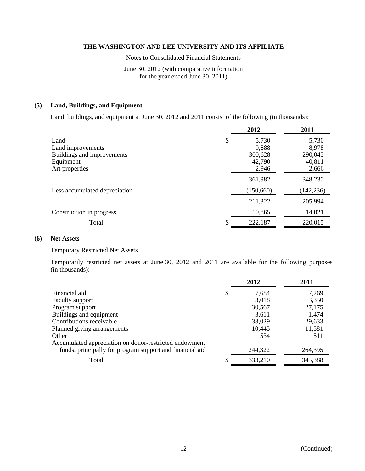Notes to Consolidated Financial Statements

June 30, 2012 (with comparative information for the year ended June 30, 2011)

# **(5) Land, Buildings, and Equipment**

Land, buildings, and equipment at June 30, 2012 and 2011 consist of the following (in thousands):

| 2012        | 2011       |
|-------------|------------|
| \$<br>5,730 | 5,730      |
| 9.888       | 8,978      |
| 300,628     | 290,045    |
| 42,790      | 40,811     |
| 2,946       | 2,666      |
| 361,982     | 348,230    |
| (150,660)   | (142, 236) |
| 211,322     | 205,994    |
| 10,865      | 14,021     |
| 222,187     | 220,015    |
|             |            |

#### **(6) Net Assets**

# Temporary Restricted Net Assets

Temporarily restricted net assets at June 30, 2012 and 2011 are available for the following purposes (in thousands):

|                                                          | 2012        | 2011    |
|----------------------------------------------------------|-------------|---------|
| Financial aid                                            | \$<br>7,684 | 7,269   |
| <b>Faculty support</b>                                   | 3,018       | 3,350   |
| Program support                                          | 30,567      | 27,175  |
| Buildings and equipment                                  | 3,611       | 1,474   |
| Contributions receivable                                 | 33,029      | 29,633  |
| Planned giving arrangements                              | 10,445      | 11,581  |
| Other                                                    | 534         | 511     |
| Accumulated appreciation on donor-restricted endowment   |             |         |
| funds, principally for program support and financial aid | 244,322     | 264,395 |
| Total                                                    | 333,210     | 345,388 |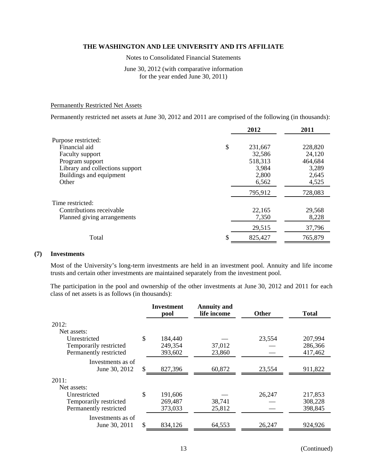Notes to Consolidated Financial Statements

# June 30, 2012 (with comparative information for the year ended June 30, 2011)

#### Permanently Restricted Net Assets

Permanently restricted net assets at June 30, 2012 and 2011 are comprised of the following (in thousands):

|                                 | 2012    | 2011    |
|---------------------------------|---------|---------|
| Purpose restricted:             |         |         |
| \$<br>Financial aid             | 231,667 | 228,820 |
| Faculty support                 | 32,586  | 24,120  |
| Program support                 | 518,313 | 464,684 |
| Library and collections support | 3,984   | 3,289   |
| Buildings and equipment         | 2,800   | 2,645   |
| Other                           | 6,562   | 4,525   |
|                                 | 795,912 | 728,083 |
| Time restricted:                |         |         |
| Contributions receivable        | 22,165  | 29,568  |
| Planned giving arrangements     | 7,350   | 8,228   |
|                                 | 29,515  | 37,796  |
| \$<br>Total                     | 825,427 | 765,879 |

# **(7) Investments**

Most of the University's long-term investments are held in an investment pool. Annuity and life income trusts and certain other investments are maintained separately from the investment pool.

The participation in the pool and ownership of the other investments at June 30, 2012 and 2011 for each class of net assets is as follows (in thousands):

|                                    | <b>Investment</b><br>pool | <b>Annuity and</b><br>life income | <b>Other</b> | <b>Total</b> |
|------------------------------------|---------------------------|-----------------------------------|--------------|--------------|
| 2012:                              |                           |                                   |              |              |
| Net assets:                        |                           |                                   |              |              |
| Unrestricted                       | \$<br>184,440             |                                   | 23,554       | 207,994      |
| Temporarily restricted             | 249,354                   | 37,012                            |              | 286,366      |
| Permanently restricted             | 393,602                   | 23,860                            |              | 417,462      |
| Investments as of<br>June 30, 2012 | \$<br>827,396             | 60,872                            | 23,554       | 911,822      |
| 2011:                              |                           |                                   |              |              |
| Net assets:                        |                           |                                   |              |              |
| Unrestricted                       | \$<br>191,606             |                                   | 26,247       | 217,853      |
| Temporarily restricted             | 269,487                   | 38,741                            |              | 308,228      |
| Permanently restricted             | 373,033                   | 25,812                            |              | 398,845      |
| Investments as of                  |                           |                                   |              |              |
| June 30, 2011                      | \$<br>834,126             | 64,553                            | 26,247       | 924,926      |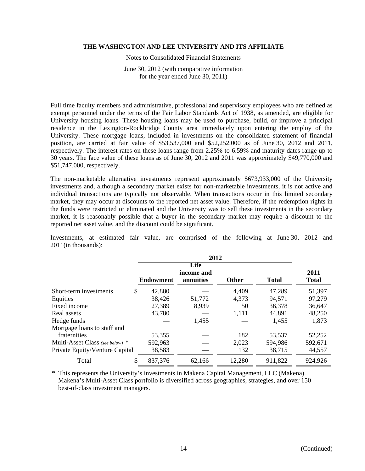Notes to Consolidated Financial Statements

June 30, 2012 (with comparative information for the year ended June 30, 2011)

Full time faculty members and administrative, professional and supervisory employees who are defined as exempt personnel under the terms of the Fair Labor Standards Act of 1938, as amended, are eligible for University housing loans. These housing loans may be used to purchase, build, or improve a principal residence in the Lexington-Rockbridge County area immediately upon entering the employ of the University. These mortgage loans, included in investments on the consolidated statement of financial position, are carried at fair value of \$53,537,000 and \$52,252,000 as of June 30, 2012 and 2011, respectively. The interest rates on these loans range from 2.25% to 6.59% and maturity dates range up to 30 years. The face value of these loans as of June 30, 2012 and 2011 was approximately \$49,770,000 and \$51,747,000, respectively.

The non-marketable alternative investments represent approximately \$673,933,000 of the University investments and, although a secondary market exists for non-marketable investments, it is not active and individual transactions are typically not observable. When transactions occur in this limited secondary market, they may occur at discounts to the reported net asset value. Therefore, if the redemption rights in the funds were restricted or eliminated and the University was to sell these investments in the secondary market, it is reasonably possible that a buyer in the secondary market may require a discount to the reported net asset value, and the discount could be significant.

Investments, at estimated fair value, are comprised of the following at June 30, 2012 and 2011(in thousands):

| 2012                            |    |                  |                                 |              |              |                      |  |
|---------------------------------|----|------------------|---------------------------------|--------------|--------------|----------------------|--|
|                                 |    | <b>Endowment</b> | Life<br>income and<br>annuities | <b>Other</b> | <b>Total</b> | 2011<br><b>Total</b> |  |
| Short-term investments          | \$ | 42,880           |                                 | 4,409        | 47,289       | 51,397               |  |
| Equities                        |    | 38,426           | 51,772                          | 4,373        | 94,571       | 97,279               |  |
| Fixed income                    |    | 27,389           | 8,939                           | 50           | 36,378       | 36,647               |  |
| Real assets                     |    | 43,780           |                                 | 1,111        | 44,891       | 48,250               |  |
| Hedge funds                     |    |                  | 1,455                           |              | 1,455        | 1,873                |  |
| Mortgage loans to staff and     |    |                  |                                 |              |              |                      |  |
| fraternities                    |    | 53,355           |                                 | 182          | 53,537       | 52,252               |  |
| Multi-Asset Class (see below) * |    | 592,963          |                                 | 2,023        | 594,986      | 592,671              |  |
| Private Equity/Venture Capital  |    | 38,583           |                                 | 132          | 38,715       | 44,557               |  |
| Total                           | \$ | 837,376          | 62,166                          | 12,280       | 911,822      | 924,926              |  |

\* This represents the University's investments in Makena Capital Management, LLC (Makena). Makena's Multi-Asset Class portfolio is diversified across geographies, strategies, and over 150 best-of-class investment managers.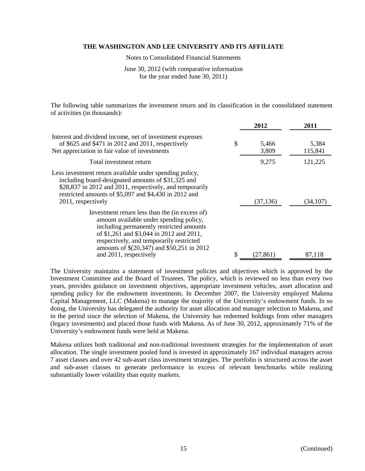Notes to Consolidated Financial Statements

June 30, 2012 (with comparative information for the year ended June 30, 2011)

The following table summarizes the investment return and its classification in the consolidated statement of activities (in thousands):

|                                                                                                                                                                                                                                                                                                       | 2012                 | 2011             |
|-------------------------------------------------------------------------------------------------------------------------------------------------------------------------------------------------------------------------------------------------------------------------------------------------------|----------------------|------------------|
| Interest and dividend income, net of investment expenses<br>of \$625 and \$471 in 2012 and 2011, respectively<br>Net appreciation in fair value of investments                                                                                                                                        | \$<br>5,466<br>3,809 | 5,384<br>115,841 |
| Total investment return                                                                                                                                                                                                                                                                               | 9,275                | 121,225          |
| Less investment return available under spending policy,<br>including board-designated amounts of \$31,325 and<br>\$28,837 in 2012 and 2011, respectively, and temporarily<br>restricted amounts of \$5,097 and \$4,430 in 2012 and<br>2011, respectively                                              | (37, 136)            | (34,107)         |
| Investment return less than the (in excess of)<br>amount available under spending policy,<br>including permanently restricted amounts<br>of \$1,261 and \$3,044 in 2012 and 2011,<br>respectively, and temporarily restricted<br>amounts of \$(20,347) and \$50,251 in 2012<br>and 2011, respectively | (27,861)             | 87,118           |

The University maintains a statement of investment policies and objectives which is approved by the Investment Committee and the Board of Trustees. The policy, which is reviewed no less than every two years, provides guidance on investment objectives, appropriate investment vehicles, asset allocation and spending policy for the endowment investments. In December 2007, the University employed Makena Capital Management, LLC (Makena) to manage the majority of the University's endowment funds. In so doing, the University has delegated the authority for asset allocation and manager selection to Makena, and in the period since the selection of Makena, the University has redeemed holdings from other managers (legacy investments) and placed those funds with Makena. As of June 30, 2012, approximately 71% of the University's endowment funds were held at Makena.

Makena utilizes both traditional and non-traditional investment strategies for the implementation of asset allocation. The single investment pooled fund is invested in approximately 167 individual managers across 7 asset classes and over 42 sub-asset class investment strategies. The portfolio is structured across the asset and sub-asset classes to generate performance in excess of relevant benchmarks while realizing substantially lower volatility than equity markets.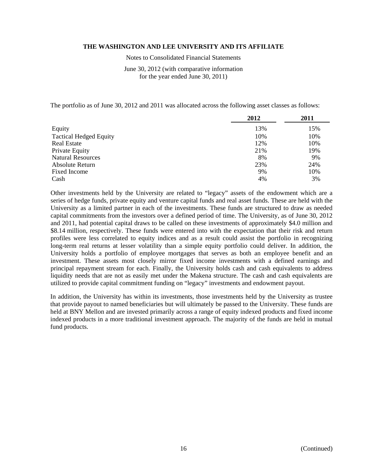Notes to Consolidated Financial Statements

June 30, 2012 (with comparative information for the year ended June 30, 2011)

The portfolio as of June 30, 2012 and 2011 was allocated across the following asset classes as follows:

|                               | 2012 | 2011 |
|-------------------------------|------|------|
| Equity                        | 13%  | 15%  |
| <b>Tactical Hedged Equity</b> | 10%  | 10%  |
| <b>Real Estate</b>            | 12%  | 10%  |
| Private Equity                | 21%  | 19%  |
| <b>Natural Resources</b>      | 8%   | 9%   |
| Absolute Return               | 23%  | 24%  |
| <b>Fixed Income</b>           | 9%   | 10%  |
| Cash                          | 4%   | 3%   |

Other investments held by the University are related to "legacy" assets of the endowment which are a series of hedge funds, private equity and venture capital funds and real asset funds. These are held with the University as a limited partner in each of the investments. These funds are structured to draw as needed capital commitments from the investors over a defined period of time. The University, as of June 30, 2012 and 2011, had potential capital draws to be called on these investments of approximately \$4.0 million and \$8.14 million, respectively. These funds were entered into with the expectation that their risk and return profiles were less correlated to equity indices and as a result could assist the portfolio in recognizing long-term real returns at lesser volatility than a simple equity portfolio could deliver. In addition, the University holds a portfolio of employee mortgages that serves as both an employee benefit and an investment. These assets most closely mirror fixed income investments with a defined earnings and principal repayment stream for each. Finally, the University holds cash and cash equivalents to address liquidity needs that are not as easily met under the Makena structure. The cash and cash equivalents are utilized to provide capital commitment funding on "legacy" investments and endowment payout.

In addition, the University has within its investments, those investments held by the University as trustee that provide payout to named beneficiaries but will ultimately be passed to the University. These funds are held at BNY Mellon and are invested primarily across a range of equity indexed products and fixed income indexed products in a more traditional investment approach. The majority of the funds are held in mutual fund products.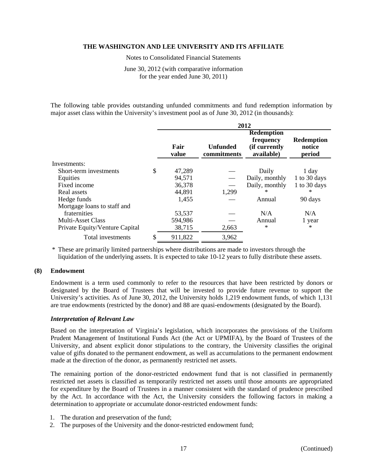Notes to Consolidated Financial Statements

June 30, 2012 (with comparative information for the year ended June 30, 2011)

The following table provides outstanding unfunded commitments and fund redemption information by major asset class within the University's investment pool as of June 30, 2012 (in thousands):

|                                | 2012          |                                |                                                               |                                       |  |
|--------------------------------|---------------|--------------------------------|---------------------------------------------------------------|---------------------------------------|--|
|                                | Fair<br>value | <b>Unfunded</b><br>commitments | <b>Redemption</b><br>frequency<br>(if currently<br>available) | <b>Redemption</b><br>notice<br>period |  |
| Investments:                   |               |                                |                                                               |                                       |  |
| Short-term investments         | \$<br>47,289  |                                | Daily                                                         | 1 day                                 |  |
| Equities                       | 94,571        |                                | Daily, monthly                                                | 1 to 30 days                          |  |
| Fixed income                   | 36,378        |                                | Daily, monthly                                                | 1 to 30 days                          |  |
| Real assets                    | 44,891        | 1,299                          | $^{\ast}$                                                     | $^{\ast}$                             |  |
| Hedge funds                    | 1,455         |                                | Annual                                                        | 90 days                               |  |
| Mortgage loans to staff and    |               |                                |                                                               |                                       |  |
| fraternities                   | 53,537        |                                | N/A                                                           | N/A                                   |  |
| <b>Multi-Asset Class</b>       | 594,986       |                                | Annual                                                        | 1 year                                |  |
| Private Equity/Venture Capital | 38,715        | 2,663                          | $\ast$                                                        | $\ast$                                |  |
| Total investments              | 911,822       | 3,962                          |                                                               |                                       |  |
|                                |               |                                |                                                               |                                       |  |

\* These are primarily limited partnerships where distributions are made to investors through the liquidation of the underlying assets. It is expected to take 10-12 years to fully distribute these assets.

### **(8) Endowment**

Endowment is a term used commonly to refer to the resources that have been restricted by donors or designated by the Board of Trustees that will be invested to provide future revenue to support the University's activities. As of June 30, 2012, the University holds 1,219 endowment funds, of which 1,131 are true endowments (restricted by the donor) and 88 are quasi-endowments (designated by the Board).

#### *Interpretation of Relevant Law*

Based on the interpretation of Virginia's legislation, which incorporates the provisions of the Uniform Prudent Management of Institutional Funds Act (the Act or UPMIFA), by the Board of Trustees of the University, and absent explicit donor stipulations to the contrary, the University classifies the original value of gifts donated to the permanent endowment, as well as accumulations to the permanent endowment made at the direction of the donor, as permanently restricted net assets.

The remaining portion of the donor-restricted endowment fund that is not classified in permanently restricted net assets is classified as temporarily restricted net assets until those amounts are appropriated for expenditure by the Board of Trustees in a manner consistent with the standard of prudence prescribed by the Act. In accordance with the Act, the University considers the following factors in making a determination to appropriate or accumulate donor-restricted endowment funds:

- 1. The duration and preservation of the fund;
- 2. The purposes of the University and the donor-restricted endowment fund;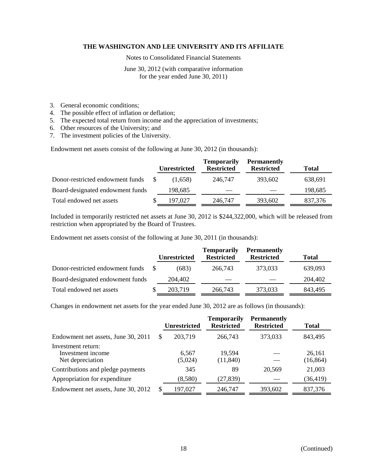Notes to Consolidated Financial Statements

June 30, 2012 (with comparative information for the year ended June 30, 2011)

- 3. General economic conditions;
- 4. The possible effect of inflation or deflation;
- 5. The expected total return from income and the appreciation of investments;
- 6. Other resources of the University; and
- 7. The investment policies of the University.

Endowment net assets consist of the following at June 30, 2012 (in thousands):

|                                  | <b>Unrestricted</b> | <b>Temporarily</b><br><b>Restricted</b> | <b>Permanently</b><br><b>Restricted</b> | <b>Total</b> |
|----------------------------------|---------------------|-----------------------------------------|-----------------------------------------|--------------|
| Donor-restricted endowment funds | (1.658)             | 246,747                                 | 393,602                                 | 638,691      |
| Board-designated endowment funds | 198,685             |                                         |                                         | 198,685      |
| Total endowed net assets         | 197.027             | 246,747                                 | 393,602                                 | 837,376      |

Included in temporarily restricted net assets at June 30, 2012 is \$244,322,000, which will be released from restriction when appropriated by the Board of Trustees.

Endowment net assets consist of the following at June 30, 2011 (in thousands):

|                                  | <b>Unrestricted</b> | <b>Temporarily</b><br><b>Restricted</b> | <b>Permanently</b><br><b>Restricted</b> | <b>Total</b> |
|----------------------------------|---------------------|-----------------------------------------|-----------------------------------------|--------------|
| Donor-restricted endowment funds | (683)               | 266,743                                 | 373,033                                 | 639,093      |
| Board-designated endowment funds | 204,402             |                                         |                                         | 204,402      |
| Total endowed net assets         | 203,719             | 266,743                                 | 373,033                                 | 843,495      |

Changes in endowment net assets for the year ended June 30, 2012 are as follows (in thousands):

|                                                             | <b>Unrestricted</b> | <b>Temporarily</b><br><b>Restricted</b> | <b>Permanently</b><br><b>Restricted</b> | <b>Total</b>        |
|-------------------------------------------------------------|---------------------|-----------------------------------------|-----------------------------------------|---------------------|
| Endowment net assets, June 30, 2011                         | 203,719             | 266,743                                 | 373,033                                 | 843,495             |
| Investment return:<br>Investment income<br>Net depreciation | 6,567<br>(5,024)    | 19,594<br>(11, 840)                     |                                         | 26,161<br>(16, 864) |
| Contributions and pledge payments                           | 345                 | 89                                      | 20,569                                  | 21,003              |
| Appropriation for expenditure                               | (8,580)             | (27, 839)                               |                                         | (36, 419)           |
| Endowment net assets, June 30, 2012                         | 197,027             | 246,747                                 | 393,602                                 | 837,376             |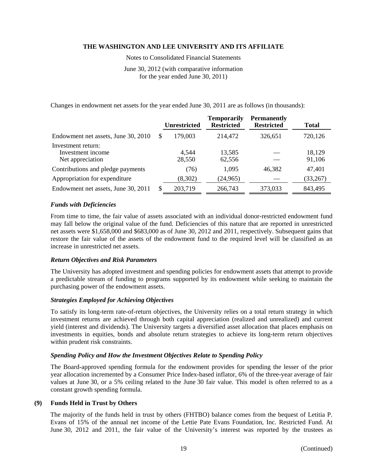Notes to Consolidated Financial Statements

June 30, 2012 (with comparative information for the year ended June 30, 2011)

Changes in endowment net assets for the year ended June 30, 2011 are as follows (in thousands):

|                                                             |   | <b>Unrestricted</b> | <b>Temporarily</b><br><b>Restricted</b> | <b>Permanently</b><br><b>Restricted</b> | Total            |
|-------------------------------------------------------------|---|---------------------|-----------------------------------------|-----------------------------------------|------------------|
| Endowment net assets, June 30, 2010                         | S | 179,003             | 214,472                                 | 326,651                                 | 720,126          |
| Investment return:<br>Investment income<br>Net appreciation |   | 4,544<br>28,550     | 13,585<br>62,556                        |                                         | 18,129<br>91,106 |
| Contributions and pledge payments                           |   | (76)                | 1,095                                   | 46,382                                  | 47,401           |
| Appropriation for expenditure                               |   | (8,302)             | (24, 965)                               |                                         | (33,267)         |
| Endowment net assets, June 30, 2011                         |   | 203,719             | 266,743                                 | 373,033                                 | 843,495          |

#### *Funds with Deficiencies*

From time to time, the fair value of assets associated with an individual donor-restricted endowment fund may fall below the original value of the fund. Deficiencies of this nature that are reported in unrestricted net assets were \$1,658,000 and \$683,000 as of June 30, 2012 and 2011, respectively. Subsequent gains that restore the fair value of the assets of the endowment fund to the required level will be classified as an increase in unrestricted net assets.

#### *Return Objectives and Risk Parameters*

The University has adopted investment and spending policies for endowment assets that attempt to provide a predictable stream of funding to programs supported by its endowment while seeking to maintain the purchasing power of the endowment assets.

#### *Strategies Employed for Achieving Objectives*

To satisfy its long-term rate-of-return objectives, the University relies on a total return strategy in which investment returns are achieved through both capital appreciation (realized and unrealized) and current yield (interest and dividends). The University targets a diversified asset allocation that places emphasis on investments in equities, bonds and absolute return strategies to achieve its long-term return objectives within prudent risk constraints.

#### *Spending Policy and How the Investment Objectives Relate to Spending Policy*

The Board-approved spending formula for the endowment provides for spending the lesser of the prior year allocation incremented by a Consumer Price Index-based inflator, 6% of the three-year average of fair values at June 30, or a 5% ceiling related to the June 30 fair value. This model is often referred to as a constant growth spending formula.

#### **(9) Funds Held in Trust by Others**

The majority of the funds held in trust by others (FHTBO) balance comes from the bequest of Letitia P. Evans of 15% of the annual net income of the Lettie Pate Evans Foundation, Inc. Restricted Fund. At June 30, 2012 and 2011, the fair value of the University's interest was reported by the trustees as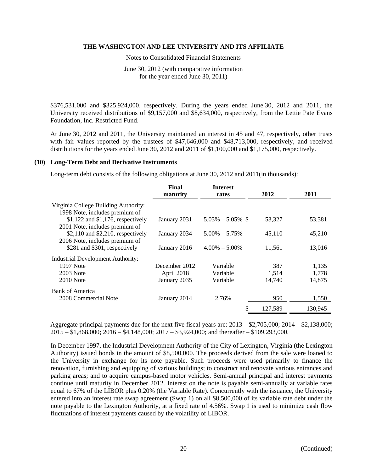Notes to Consolidated Financial Statements

June 30, 2012 (with comparative information for the year ended June 30, 2011)

\$376,531,000 and \$325,924,000, respectively. During the years ended June 30, 2012 and 2011, the University received distributions of \$9,157,000 and \$8,634,000, respectively, from the Lettie Pate Evans Foundation, Inc. Restricted Fund.

At June 30, 2012 and 2011, the University maintained an interest in 45 and 47, respectively, other trusts with fair values reported by the trustees of \$47,646,000 and \$48,713,000, respectively, and received distributions for the years ended June 30, 2012 and 2011 of \$1,100,000 and \$1,175,000, respectively.

#### **(10) Long-Term Debt and Derivative Instruments**

Long-term debt consists of the following obligations at June 30, 2012 and 2011(in thousands):

|                                      | Final<br>maturity | <b>Interest</b><br>rates | 2012    | 2011    |
|--------------------------------------|-------------------|--------------------------|---------|---------|
| Virginia College Building Authority: |                   |                          |         |         |
| 1998 Note, includes premium of       |                   |                          |         |         |
| $$1,122$ and $$1,176$ , respectively | January 2031      | $5.03\% - 5.05\%$ \$     | 53,327  | 53,381  |
| 2001 Note, includes premium of       |                   |                          |         |         |
| $$2,110$ and $$2,210$ , respectively | January 2034      | $5.00\% - 5.75\%$        | 45,110  | 45,210  |
| 2006 Note, includes premium of       |                   |                          |         |         |
| \$281 and \$301, respectively        | January 2016      | $4.00\% - 5.00\%$        | 11,561  | 13,016  |
| Industrial Development Authority:    |                   |                          |         |         |
| 1997 Note                            | December 2012     | Variable                 | 387     | 1,135   |
| <b>2003</b> Note                     | April 2018        | Variable                 | 1,514   | 1,778   |
| <b>2010</b> Note                     | January 2035      | Variable                 | 14,740  | 14,875  |
|                                      |                   |                          |         |         |
| Bank of America                      |                   |                          |         |         |
| 2008 Commercial Note                 | January 2014      | 2.76%                    | 950     | 1,550   |
|                                      |                   | \$                       | 127.589 | 130,945 |

Aggregate principal payments due for the next five fiscal years are: 2013 – \$2,705,000; 2014 – \$2,138,000; 2015 – \$1,868,000; 2016 – \$4,148,000; 2017 – \$3,924,000; and thereafter – \$109,293,000.

In December 1997, the Industrial Development Authority of the City of Lexington, Virginia (the Lexington Authority) issued bonds in the amount of \$8,500,000. The proceeds derived from the sale were loaned to the University in exchange for its note payable. Such proceeds were used primarily to finance the renovation, furnishing and equipping of various buildings; to construct and renovate various entrances and parking areas; and to acquire campus-based motor vehicles. Semi-annual principal and interest payments continue until maturity in December 2012. Interest on the note is payable semi-annually at variable rates equal to 67% of the LIBOR plus 0.20% (the Variable Rate). Concurrently with the issuance, the University entered into an interest rate swap agreement (Swap 1) on all \$8,500,000 of its variable rate debt under the note payable to the Lexington Authority, at a fixed rate of 4.56%. Swap 1 is used to minimize cash flow fluctuations of interest payments caused by the volatility of LIBOR.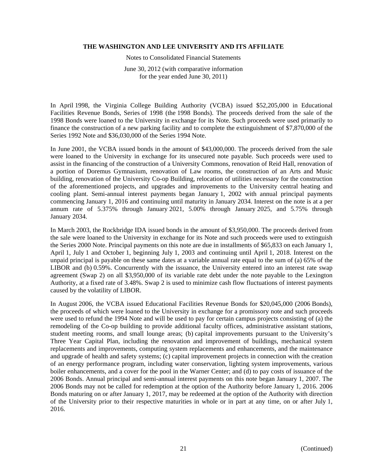Notes to Consolidated Financial Statements

June 30, 2012 (with comparative information for the year ended June 30, 2011)

In April 1998, the Virginia College Building Authority (VCBA) issued \$52,205,000 in Educational Facilities Revenue Bonds, Series of 1998 (the 1998 Bonds). The proceeds derived from the sale of the 1998 Bonds were loaned to the University in exchange for its Note. Such proceeds were used primarily to finance the construction of a new parking facility and to complete the extinguishment of \$7,870,000 of the Series 1992 Note and \$36,030,000 of the Series 1994 Note.

In June 2001, the VCBA issued bonds in the amount of \$43,000,000. The proceeds derived from the sale were loaned to the University in exchange for its unsecured note payable. Such proceeds were used to assist in the financing of the construction of a University Commons, renovation of Reid Hall, renovation of a portion of Doremus Gymnasium, renovation of Law rooms, the construction of an Arts and Music building, renovation of the University Co-op Building, relocation of utilities necessary for the construction of the aforementioned projects, and upgrades and improvements to the University central heating and cooling plant. Semi-annual interest payments began January 1, 2002 with annual principal payments commencing January 1, 2016 and continuing until maturity in January 2034. Interest on the note is at a per annum rate of 5.375% through January 2021, 5.00% through January 2025, and 5.75% through January 2034.

In March 2003, the Rockbridge IDA issued bonds in the amount of \$3,950,000. The proceeds derived from the sale were loaned to the University in exchange for its Note and such proceeds were used to extinguish the Series 2000 Note. Principal payments on this note are due in installments of \$65,833 on each January 1, April 1, July 1 and October 1, beginning July 1, 2003 and continuing until April 1, 2018. Interest on the unpaid principal is payable on these same dates at a variable annual rate equal to the sum of (a) 65% of the LIBOR and (b) 0.59%. Concurrently with the issuance, the University entered into an interest rate swap agreement (Swap 2) on all \$3,950,000 of its variable rate debt under the note payable to the Lexington Authority, at a fixed rate of 3.48%. Swap 2 is used to minimize cash flow fluctuations of interest payments caused by the volatility of LIBOR.

In August 2006, the VCBA issued Educational Facilities Revenue Bonds for \$20,045,000 (2006 Bonds), the proceeds of which were loaned to the University in exchange for a promissory note and such proceeds were used to refund the 1994 Note and will be used to pay for certain campus projects consisting of (a) the remodeling of the Co-op building to provide additional faculty offices, administrative assistant stations, student meeting rooms, and small lounge areas; (b) capital improvements pursuant to the University's Three Year Capital Plan, including the renovation and improvement of buildings, mechanical system replacements and improvements, computing system replacements and enhancements, and the maintenance and upgrade of health and safety systems; (c) capital improvement projects in connection with the creation of an energy performance program, including water conservation, lighting system improvements, various boiler enhancements, and a cover for the pool in the Warner Center; and (d) to pay costs of issuance of the 2006 Bonds. Annual principal and semi-annual interest payments on this note began January 1, 2007. The 2006 Bonds may not be called for redemption at the option of the Authority before January 1, 2016. 2006 Bonds maturing on or after January 1, 2017, may be redeemed at the option of the Authority with direction of the University prior to their respective maturities in whole or in part at any time, on or after July 1, 2016.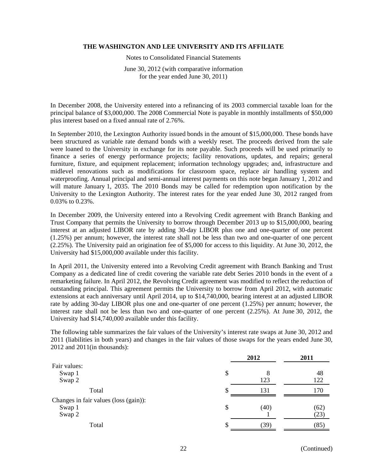Notes to Consolidated Financial Statements

June 30, 2012 (with comparative information for the year ended June 30, 2011)

In December 2008, the University entered into a refinancing of its 2003 commercial taxable loan for the principal balance of \$3,000,000. The 2008 Commercial Note is payable in monthly installments of \$50,000 plus interest based on a fixed annual rate of 2.76%.

In September 2010, the Lexington Authority issued bonds in the amount of \$15,000,000. These bonds have been structured as variable rate demand bonds with a weekly reset. The proceeds derived from the sale were loaned to the University in exchange for its note payable. Such proceeds will be used primarily to finance a series of energy performance projects; facility renovations, updates, and repairs; general furniture, fixture, and equipment replacement; information technology upgrades; and, infrastructure and midlevel renovations such as modifications for classroom space, replace air handling system and waterproofing. Annual principal and semi-annual interest payments on this note began January 1, 2012 and will mature January 1, 2035. The 2010 Bonds may be called for redemption upon notification by the University to the Lexington Authority. The interest rates for the year ended June 30, 2012 ranged from 0.03% to 0.23%.

In December 2009, the University entered into a Revolving Credit agreement with Branch Banking and Trust Company that permits the University to borrow through December 2013 up to \$15,000,000, bearing interest at an adjusted LIBOR rate by adding 30-day LIBOR plus one and one-quarter of one percent (1.25%) per annum; however, the interest rate shall not be less than two and one-quarter of one percent (2.25%). The University paid an origination fee of \$5,000 for access to this liquidity. At June 30, 2012, the University had \$15,000,000 available under this facility.

In April 2011, the University entered into a Revolving Credit agreement with Branch Banking and Trust Company as a dedicated line of credit covering the variable rate debt Series 2010 bonds in the event of a remarketing failure. In April 2012, the Revolving Credit agreement was modified to reflect the reduction of outstanding principal. This agreement permits the University to borrow from April 2012, with automatic extensions at each anniversary until April 2014, up to \$14,740,000, bearing interest at an adjusted LIBOR rate by adding 30-day LIBOR plus one and one-quarter of one percent (1.25%) per annum; however, the interest rate shall not be less than two and one-quarter of one percent (2.25%). At June 30, 2012, the University had \$14,740,000 available under this facility.

The following table summarizes the fair values of the University's interest rate swaps at June 30, 2012 and 2011 (liabilities in both years) and changes in the fair values of those swaps for the years ended June 30, 2012 and 2011(in thousands):

|                                       |    | 2012 | 2011 |
|---------------------------------------|----|------|------|
| Fair values:                          |    |      |      |
| Swap 1                                | \$ |      | 48   |
| Swap 2                                |    | 123  | 122  |
| Total                                 | \$ | 131  | 170  |
| Changes in fair values (loss (gain)): |    |      |      |
| Swap 1                                | \$ | (40) | (62) |
| Swap 2                                |    |      | (23) |
| Total                                 | S  | (39) | (85) |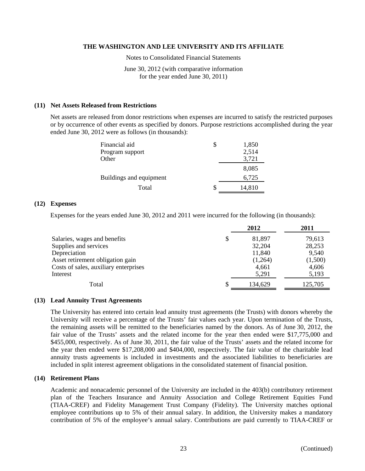Notes to Consolidated Financial Statements

June 30, 2012 (with comparative information for the year ended June 30, 2011)

### **(11) Net Assets Released from Restrictions**

Net assets are released from donor restrictions when expenses are incurred to satisfy the restricted purposes or by occurrence of other events as specified by donors. Purpose restrictions accomplished during the year ended June 30, 2012 were as follows (in thousands):

| Financial aid           |   | 1,850  |
|-------------------------|---|--------|
| Program support         |   | 2,514  |
| Other                   |   | 3,721  |
|                         |   | 8,085  |
| Buildings and equipment |   | 6,725  |
| Total                   | S | 14,810 |

#### **(12) Expenses**

Expenses for the years ended June 30, 2012 and 2011 were incurred for the following (in thousands):

|                                       |   | 2012    | 2011    |
|---------------------------------------|---|---------|---------|
| Salaries, wages and benefits          | S | 81,897  | 79,613  |
| Supplies and services                 |   | 32,204  | 28,253  |
| Depreciation                          |   | 11,840  | 9,540   |
| Asset retirement obligation gain      |   | (1,264) | (1,500) |
| Costs of sales, auxiliary enterprises |   | 4,661   | 4,606   |
| Interest                              |   | 5,291   | 5,193   |
| Total                                 |   | 134,629 | 125,705 |

#### **(13) Lead Annuity Trust Agreements**

The University has entered into certain lead annuity trust agreements (the Trusts) with donors whereby the University will receive a percentage of the Trusts' fair values each year. Upon termination of the Trusts, the remaining assets will be remitted to the beneficiaries named by the donors. As of June 30, 2012, the fair value of the Trusts' assets and the related income for the year then ended were \$17,775,000 and \$455,000, respectively. As of June 30, 2011, the fair value of the Trusts' assets and the related income for the year then ended were \$17,208,000 and \$404,000, respectively. The fair value of the charitable lead annuity trusts agreements is included in investments and the associated liabilities to beneficiaries are included in split interest agreement obligations in the consolidated statement of financial position.

#### **(14) Retirement Plans**

Academic and nonacademic personnel of the University are included in the 403(b) contributory retirement plan of the Teachers Insurance and Annuity Association and College Retirement Equities Fund (TIAA-CREF) and Fidelity Management Trust Company (Fidelity). The University matches optional employee contributions up to 5% of their annual salary. In addition, the University makes a mandatory contribution of 5% of the employee's annual salary. Contributions are paid currently to TIAA-CREF or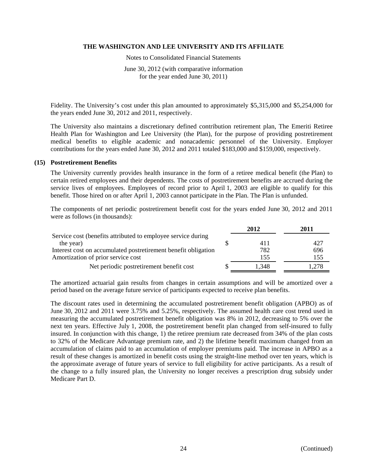Notes to Consolidated Financial Statements

June 30, 2012 (with comparative information for the year ended June 30, 2011)

Fidelity. The University's cost under this plan amounted to approximately \$5,315,000 and \$5,254,000 for the years ended June 30, 2012 and 2011, respectively.

The University also maintains a discretionary defined contribution retirement plan, The Emeriti Retiree Health Plan for Washington and Lee University (the Plan), for the purpose of providing postretirement medical benefits to eligible academic and nonacademic personnel of the University. Employer contributions for the years ended June 30, 2012 and 2011 totaled \$183,000 and \$159,000, respectively.

#### **(15) Postretirement Benefits**

The University currently provides health insurance in the form of a retiree medical benefit (the Plan) to certain retired employees and their dependents. The costs of postretirement benefits are accrued during the service lives of employees. Employees of record prior to April 1, 2003 are eligible to qualify for this benefit. Those hired on or after April 1, 2003 cannot participate in the Plan. The Plan is unfunded.

The components of net periodic postretirement benefit cost for the years ended June 30, 2012 and 2011 were as follows (in thousands):

|                                                                | 2012  | 2011  |
|----------------------------------------------------------------|-------|-------|
| Service cost (benefits attributed to employee service during   |       |       |
| the year)                                                      | 411   | 427   |
| Interest cost on accumulated postretirement benefit obligation | 782   | 696   |
| Amortization of prior service cost                             | 155   | 155   |
| Net periodic postretirement benefit cost                       | 1.348 | l.278 |

The amortized actuarial gain results from changes in certain assumptions and will be amortized over a period based on the average future service of participants expected to receive plan benefits.

The discount rates used in determining the accumulated postretirement benefit obligation (APBO) as of June 30, 2012 and 2011 were 3.75% and 5.25%, respectively. The assumed health care cost trend used in measuring the accumulated postretirement benefit obligation was 8% in 2012, decreasing to 5% over the next ten years. Effective July 1, 2008, the postretirement benefit plan changed from self-insured to fully insured. In conjunction with this change, 1) the retiree premium rate decreased from 34% of the plan costs to 32% of the Medicare Advantage premium rate, and 2) the lifetime benefit maximum changed from an accumulation of claims paid to an accumulation of employer premiums paid. The increase in APBO as a result of these changes is amortized in benefit costs using the straight-line method over ten years, which is the approximate average of future years of service to full eligibility for active participants. As a result of the change to a fully insured plan, the University no longer receives a prescription drug subsidy under Medicare Part D.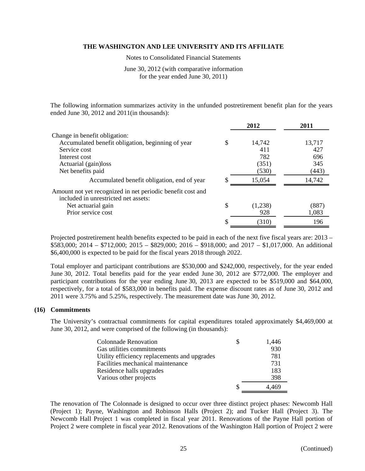Notes to Consolidated Financial Statements

June 30, 2012 (with comparative information for the year ended June 30, 2011)

The following information summarizes activity in the unfunded postretirement benefit plan for the years ended June 30, 2012 and 2011(in thousands):

|                                                                                                    |    | 2012    | 2011   |
|----------------------------------------------------------------------------------------------------|----|---------|--------|
| Change in benefit obligation:                                                                      |    |         |        |
| Accumulated benefit obligation, beginning of year                                                  | S  | 14,742  | 13,717 |
| Service cost                                                                                       |    | 411     | 427    |
| Interest cost                                                                                      |    | 782     | 696    |
| Actuarial (gain)loss                                                                               |    | (351)   | 345    |
| Net benefits paid                                                                                  |    | (530)   | (443)  |
| Accumulated benefit obligation, end of year                                                        | S. | 15,054  | 14,742 |
| Amount not yet recognized in net periodic benefit cost and<br>included in unrestricted net assets: |    |         |        |
| Net actuarial gain                                                                                 | \$ | (1,238) | (887)  |
| Prior service cost                                                                                 |    | 928     | 1,083  |
|                                                                                                    |    | (310)   | 196    |

Projected postretirement health benefits expected to be paid in each of the next five fiscal years are: 2013 – \$583,000; 2014 – \$712,000; 2015 – \$829,000; 2016 – \$918,000; and 2017 – \$1,017,000. An additional \$6,400,000 is expected to be paid for the fiscal years 2018 through 2022.

Total employer and participant contributions are \$530,000 and \$242,000, respectively, for the year ended June 30, 2012. Total benefits paid for the year ended June 30, 2012 are \$772,000. The employer and participant contributions for the year ending June 30, 2013 are expected to be \$519,000 and \$64,000, respectively, for a total of \$583,000 in benefits paid. The expense discount rates as of June 30, 2012 and 2011 were 3.75% and 5.25%, respectively. The measurement date was June 30, 2012.

# **(16) Commitments**

The University's contractual commitments for capital expenditures totaled approximately \$4,469,000 at June 30, 2012, and were comprised of the following (in thousands):

| <b>Colonnade Renovation</b>                  | S | 1,446 |
|----------------------------------------------|---|-------|
| Gas utilities commitments                    |   | 930   |
| Utility efficiency replacements and upgrades |   | 781   |
| Facilities mechanical maintenance            |   | 731   |
| Residence halls upgrades                     |   | 183   |
| Various other projects                       |   | 398   |
|                                              |   |       |

The renovation of The Colonnade is designed to occur over three distinct project phases: Newcomb Hall (Project 1); Payne, Washington and Robinson Halls (Project 2); and Tucker Hall (Project 3). The Newcomb Hall Project 1 was completed in fiscal year 2011. Renovations of the Payne Hall portion of Project 2 were complete in fiscal year 2012. Renovations of the Washington Hall portion of Project 2 were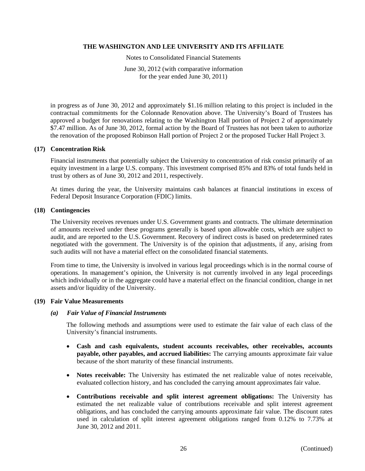Notes to Consolidated Financial Statements

June 30, 2012 (with comparative information for the year ended June 30, 2011)

in progress as of June 30, 2012 and approximately \$1.16 million relating to this project is included in the contractual commitments for the Colonnade Renovation above. The University's Board of Trustees has approved a budget for renovations relating to the Washington Hall portion of Project 2 of approximately \$7.47 million. As of June 30, 2012, formal action by the Board of Trustees has not been taken to authorize the renovation of the proposed Robinson Hall portion of Project 2 or the proposed Tucker Hall Project 3.

#### **(17) Concentration Risk**

Financial instruments that potentially subject the University to concentration of risk consist primarily of an equity investment in a large U.S. company. This investment comprised 85% and 83% of total funds held in trust by others as of June 30, 2012 and 2011, respectively.

At times during the year, the University maintains cash balances at financial institutions in excess of Federal Deposit Insurance Corporation (FDIC) limits.

#### **(18) Contingencies**

The University receives revenues under U.S. Government grants and contracts. The ultimate determination of amounts received under these programs generally is based upon allowable costs, which are subject to audit, and are reported to the U.S. Government. Recovery of indirect costs is based on predetermined rates negotiated with the government. The University is of the opinion that adjustments, if any, arising from such audits will not have a material effect on the consolidated financial statements.

From time to time, the University is involved in various legal proceedings which is in the normal course of operations. In management's opinion, the University is not currently involved in any legal proceedings which individually or in the aggregate could have a material effect on the financial condition, change in net assets and/or liquidity of the University.

#### **(19) Fair Value Measurements**

#### *(a) Fair Value of Financial Instruments*

 The following methods and assumptions were used to estimate the fair value of each class of the University's financial instruments.

- **Cash and cash equivalents, student accounts receivables, other receivables, accounts payable, other payables, and accrued liabilities:** The carrying amounts approximate fair value because of the short maturity of these financial instruments.
- **Notes receivable:** The University has estimated the net realizable value of notes receivable, evaluated collection history, and has concluded the carrying amount approximates fair value.
- **Contributions receivable and split interest agreement obligations:** The University has estimated the net realizable value of contributions receivable and split interest agreement obligations, and has concluded the carrying amounts approximate fair value. The discount rates used in calculation of split interest agreement obligations ranged from 0.12% to 7.73% at June 30, 2012 and 2011.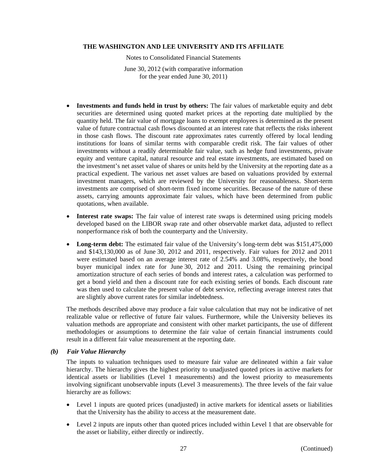Notes to Consolidated Financial Statements

June 30, 2012 (with comparative information for the year ended June 30, 2011)

- **Investments and funds held in trust by others:** The fair values of marketable equity and debt securities are determined using quoted market prices at the reporting date multiplied by the quantity held. The fair value of mortgage loans to exempt employees is determined as the present value of future contractual cash flows discounted at an interest rate that reflects the risks inherent in those cash flows. The discount rate approximates rates currently offered by local lending institutions for loans of similar terms with comparable credit risk. The fair values of other investments without a readily determinable fair value, such as hedge fund investments, private equity and venture capital, natural resource and real estate investments, are estimated based on the investment's net asset value of shares or units held by the University at the reporting date as a practical expedient. The various net asset values are based on valuations provided by external investment managers, which are reviewed by the University for reasonableness. Short-term investments are comprised of short-term fixed income securities. Because of the nature of these assets, carrying amounts approximate fair values, which have been determined from public quotations, when available.
- **Interest rate swaps:** The fair value of interest rate swaps is determined using pricing models developed based on the LIBOR swap rate and other observable market data, adjusted to reflect nonperformance risk of both the counterparty and the University.
- Long-term debt: The estimated fair value of the University's long-term debt was \$151,475,000 and \$143,130,000 as of June 30, 2012 and 2011, respectively. Fair values for 2012 and 2011 were estimated based on an average interest rate of 2.54% and 3.08%, respectively, the bond buyer municipal index rate for June 30, 2012 and 2011. Using the remaining principal amortization structure of each series of bonds and interest rates, a calculation was performed to get a bond yield and then a discount rate for each existing series of bonds. Each discount rate was then used to calculate the present value of debt service, reflecting average interest rates that are slightly above current rates for similar indebtedness.

The methods described above may produce a fair value calculation that may not be indicative of net realizable value or reflective of future fair values. Furthermore, while the University believes its valuation methods are appropriate and consistent with other market participants, the use of different methodologies or assumptions to determine the fair value of certain financial instruments could result in a different fair value measurement at the reporting date.

#### *(b) Fair Value Hierarchy*

The inputs to valuation techniques used to measure fair value are delineated within a fair value hierarchy. The hierarchy gives the highest priority to unadjusted quoted prices in active markets for identical assets or liabilities (Level 1 measurements) and the lowest priority to measurements involving significant unobservable inputs (Level 3 measurements). The three levels of the fair value hierarchy are as follows:

- Level 1 inputs are quoted prices (unadjusted) in active markets for identical assets or liabilities that the University has the ability to access at the measurement date.
- Level 2 inputs are inputs other than quoted prices included within Level 1 that are observable for the asset or liability, either directly or indirectly.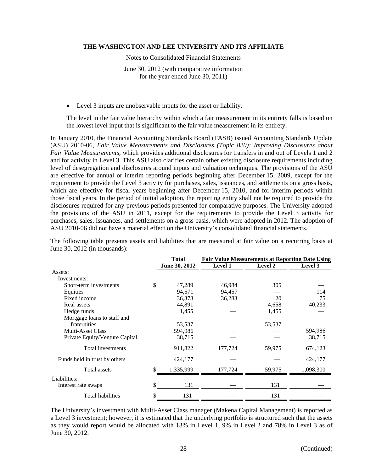Notes to Consolidated Financial Statements

June 30, 2012 (with comparative information for the year ended June 30, 2011)

Level 3 inputs are unobservable inputs for the asset or liability.

The level in the fair value hierarchy within which a fair measurement in its entirety falls is based on the lowest level input that is significant to the fair value measurement in its entirety.

In January 2010, the Financial Accounting Standards Board (FASB) issued Accounting Standards Update (ASU) 2010-06, *Fair Value Measurements and Disclosures (Topic 820): Improving Disclosures about Fair Value Measurements,* which provides additional disclosures for transfers in and out of Levels 1 and 2 and for activity in Level 3. This ASU also clarifies certain other existing disclosure requirements including level of desegregation and disclosures around inputs and valuation techniques. The provisions of the ASU are effective for annual or interim reporting periods beginning after December 15, 2009, except for the requirement to provide the Level 3 activity for purchases, sales, issuances, and settlements on a gross basis, which are effective for fiscal years beginning after December 15, 2010, and for interim periods within those fiscal years. In the period of initial adoption, the reporting entity shall not be required to provide the disclosures required for any previous periods presented for comparative purposes. The University adopted the provisions of the ASU in 2011, except for the requirements to provide the Level 3 activity for purchases, sales, issuances, and settlements on a gross basis, which were adopted in 2012. The adoption of ASU 2010-06 did not have a material effect on the University's consolidated financial statements.

The following table presents assets and liabilities that are measured at fair value on a recurring basis at June 30, 2012 (in thousands):

|                                | <b>Total</b>  | <b>Fair Value Measurements at Reporting Date Using</b> |         |                |  |  |
|--------------------------------|---------------|--------------------------------------------------------|---------|----------------|--|--|
|                                | June 30, 2012 | <b>Level 1</b>                                         | Level 2 | <b>Level 3</b> |  |  |
| Assets:                        |               |                                                        |         |                |  |  |
| Investments:                   |               |                                                        |         |                |  |  |
| Short-term investments         | \$<br>47,289  | 46.984                                                 | 305     |                |  |  |
| Equities                       | 94,571        | 94,457                                                 |         | 114            |  |  |
| Fixed income                   | 36,378        | 36,283                                                 | 20      | 75             |  |  |
| Real assets                    | 44,891        |                                                        | 4,658   | 40,233         |  |  |
| Hedge funds                    | 1,455         |                                                        | 1,455   |                |  |  |
| Mortgage loans to staff and    |               |                                                        |         |                |  |  |
| fraternities                   | 53,537        |                                                        | 53,537  |                |  |  |
| <b>Multi-Asset Class</b>       | 594,986       |                                                        |         | 594,986        |  |  |
| Private Equity/Venture Capital | 38,715        |                                                        |         | 38,715         |  |  |
| Total investments              | 911,822       | 177,724                                                | 59,975  | 674,123        |  |  |
| Funds held in trust by others  | 424,177       |                                                        |         | 424,177        |  |  |
| Total assets                   | 1,335,999     | 177,724                                                | 59,975  | 1,098,300      |  |  |
| Liabilities:                   |               |                                                        |         |                |  |  |
| Interest rate swaps            | \$<br>131     |                                                        | 131     |                |  |  |
| Total liabilities              | \$<br>131     |                                                        | 131     |                |  |  |

The University's investment with Multi-Asset Class manager (Makena Capital Management) is reported as a Level 3 investment; however, it is estimated that the underlying portfolio is structured such that the assets as they would report would be allocated with 13% in Level 1, 9% in Level 2 and 78% in Level 3 as of June 30, 2012.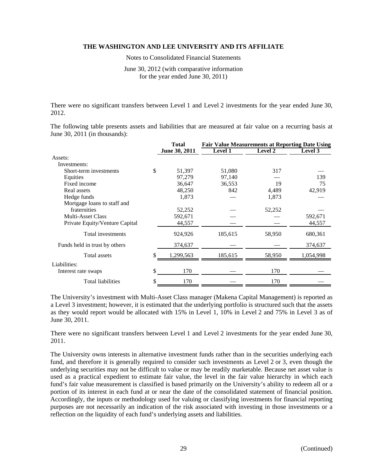Notes to Consolidated Financial Statements

June 30, 2012 (with comparative information for the year ended June 30, 2011)

There were no significant transfers between Level 1 and Level 2 investments for the year ended June 30, 2012.

The following table presents assets and liabilities that are measured at fair value on a recurring basis at June 30, 2011 (in thousands):

|                                | <b>Total</b>  | <b>Fair Value Measurements at Reporting Date Using</b> |                |                |  |  |
|--------------------------------|---------------|--------------------------------------------------------|----------------|----------------|--|--|
|                                | June 30, 2011 | <b>Level 1</b>                                         | <b>Level 2</b> | <b>Level 3</b> |  |  |
| Assets:                        |               |                                                        |                |                |  |  |
| Investments:                   |               |                                                        |                |                |  |  |
| Short-term investments         | \$<br>51,397  | 51,080                                                 | 317            |                |  |  |
| Equities                       | 97,279        | 97,140                                                 |                | 139            |  |  |
| Fixed income                   | 36,647        | 36,553                                                 | 19             | 75             |  |  |
| Real assets                    | 48,250        | 842                                                    | 4,489          | 42,919         |  |  |
| Hedge funds                    | 1,873         |                                                        | 1,873          |                |  |  |
| Mortgage loans to staff and    |               |                                                        |                |                |  |  |
| fraternities                   | 52,252        |                                                        | 52,252         |                |  |  |
| <b>Multi-Asset Class</b>       | 592,671       |                                                        |                | 592,671        |  |  |
| Private Equity/Venture Capital | 44,557        |                                                        |                | 44,557         |  |  |
| Total investments              | 924,926       | 185,615                                                | 58,950         | 680,361        |  |  |
| Funds held in trust by others  | 374,637       |                                                        |                | 374,637        |  |  |
| Total assets                   | 1,299,563     | 185,615                                                | 58,950         | 1,054,998      |  |  |
| Liabilities:                   |               |                                                        |                |                |  |  |
| Interest rate swaps            | \$<br>170     |                                                        | 170            |                |  |  |
| <b>Total liabilities</b>       | \$<br>170     |                                                        | 170            |                |  |  |

The University's investment with Multi-Asset Class manager (Makena Capital Management) is reported as a Level 3 investment; however, it is estimated that the underlying portfolio is structured such that the assets as they would report would be allocated with 15% in Level 1, 10% in Level 2 and 75% in Level 3 as of June 30, 2011.

There were no significant transfers between Level 1 and Level 2 investments for the year ended June 30, 2011.

The University owns interests in alternative investment funds rather than in the securities underlying each fund, and therefore it is generally required to consider such investments as Level 2 or 3, even though the underlying securities may not be difficult to value or may be readily marketable. Because net asset value is used as a practical expedient to estimate fair value, the level in the fair value hierarchy in which each fund's fair value measurement is classified is based primarily on the University's ability to redeem all or a portion of its interest in each fund at or near the date of the consolidated statement of financial position. Accordingly, the inputs or methodology used for valuing or classifying investments for financial reporting purposes are not necessarily an indication of the risk associated with investing in those investments or a reflection on the liquidity of each fund's underlying assets and liabilities.